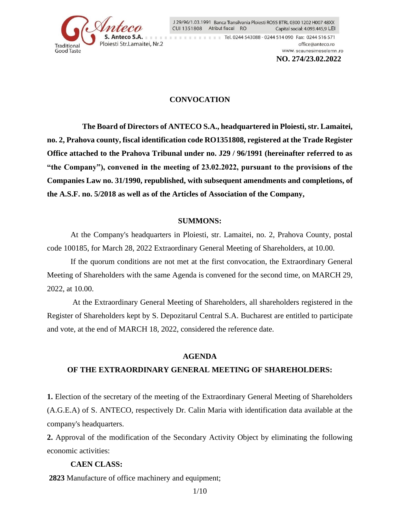

J 29/96/1.03.1991 Banca Transilvania Ploiesti RO55 BTRL 0300 1202 H007 48XX CUI 1351808 Atribut fiscal RO Capital social: 4.093.445,9 LEI

**THE REPORT OF REPORT OF REAL 244 543088 - 0244 514 090 Fax: 0244 516 571** office@anteco.ro www.scaunesimeselemn.ro  **NO. 274/23.02.2022**

## **CONVOCATION**

 **The Board of Directors of ANTECO S.A., headquartered in Ploiesti, str. Lamaitei, no. 2, Prahova county, fiscal identification code RO1351808, registered at the Trade Register Office attached to the Prahova Tribunal under no. J29 / 96/1991 (hereinafter referred to as "the Company"), convened in the meeting of 23.02.2022, pursuant to the provisions of the Companies Law no. 31/1990, republished, with subsequent amendments and completions, of the A.S.F. no. 5/2018 as well as of the Articles of Association of the Company,**

#### **SUMMONS:**

At the Company's headquarters in Ploiesti, str. Lamaitei, no. 2, Prahova County, postal code 100185, for March 28, 2022 Extraordinary General Meeting of Shareholders, at 10.00.

If the quorum conditions are not met at the first convocation, the Extraordinary General Meeting of Shareholders with the same Agenda is convened for the second time, on MARCH 29, 2022, at 10.00.

 At the Extraordinary General Meeting of Shareholders, all shareholders registered in the Register of Shareholders kept by S. Depozitarul Central S.A. Bucharest are entitled to participate and vote, at the end of MARCH 18, 2022, considered the reference date.

#### **AGENDA**

#### **OF THE EXTRAORDINARY GENERAL MEETING OF SHAREHOLDERS:**

**1.** Election of the secretary of the meeting of the Extraordinary General Meeting of Shareholders (A.G.E.A) of S. ANTECO, respectively Dr. Calin Maria with identification data available at the company's headquarters.

**2.** Approval of the modification of the Secondary Activity Object by eliminating the following economic activities:

### **CAEN CLASS:**

 **2823** Manufacture of office machinery and equipment;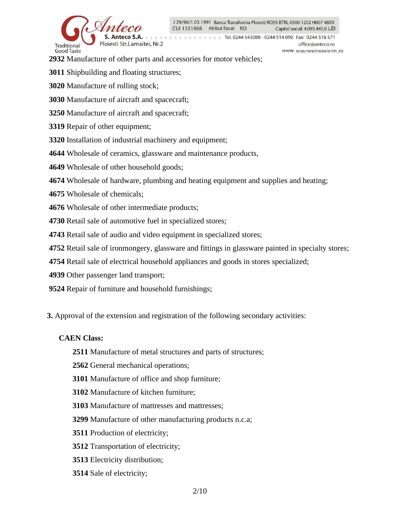

Tel. 0244 543088 - 0244 514 090 Fax: 0244 516 571 office@anteco.ro www.scaunesimeselemn.ro

 **2932** Manufacture of other parts and accessories for motor vehicles;

 **3011** Shipbuilding and floating structures;

 **3020** Manufacture of rolling stock;

 **3030** Manufacture of aircraft and spacecraft;

 **3250** Manufacture of aircraft and spacecraft;

 **3319** Repair of other equipment;

 **3320** Installation of industrial machinery and equipment;

 **4644** Wholesale of ceramics, glassware and maintenance products,

 **4649** Wholesale of other household goods;

 **4674** Wholesale of hardware, plumbing and heating equipment and supplies and heating;

 **4675** Wholesale of chemicals;

 **4676** Wholesale of other intermediate products;

 **4730** Retail sale of automotive fuel in specialized stores;

 **4743** Retail sale of audio and video equipment in specialized stores;

 **4752** Retail sale of ironmongery, glassware and fittings in glassware painted in specialty stores;

 **4754** Retail sale of electrical household appliances and goods in stores specialized;

 **4939** Other passenger land transport;

 **9524** Repair of furniture and household furnishings;

**3.** Approval of the extension and registration of the following secondary activities:

## **CAEN Class:**

- **2511** Manufacture of metal structures and parts of structures;
- **2562** General mechanical operations;
- **3101** Manufacture of office and shop furniture;
- **3102** Manufacture of kitchen furniture;
- **3103** Manufacture of mattresses and mattresses;
- **3299** Manufacture of other manufacturing products n.c.a;
- **3511** Production of electricity;
- **3512** Transportation of electricity;
- **3513** Electricity distribution;
- **3514** Sale of electricity;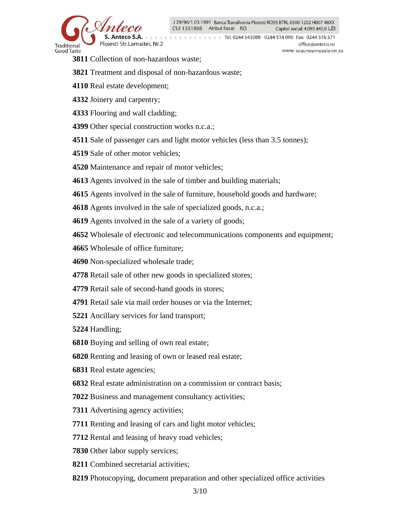

Tel. 0244 543088 - 0244 514 090 Fax: 0244 516 571 office@anteco.ro www.scaunesimeselemn.ro

- **3811** Collection of non-hazardous waste:
- **3821** Treatment and disposal of non-hazardous waste;
- **4110** Real estate development;
- **4332** Joinery and carpentry;
- **4333** Flooring and wall cladding;
- **4399** Other special construction works n.c.a.;
- **4511** Sale of passenger cars and light motor vehicles (less than 3.5 tonnes);
- **4519** Sale of other motor vehicles;
- **4520** Maintenance and repair of motor vehicles;
- **4613** Agents involved in the sale of timber and building materials;
- **4615** Agents involved in the sale of furniture, household goods and hardware;
- **4618** Agents involved in the sale of specialized goods, n.c.a.;
- **4619** Agents involved in the sale of a variety of goods;
- **4652** Wholesale of electronic and telecommunications components and equipment;
- **4665** Wholesale of office furniture;
- **4690** Non-specialized wholesale trade;
- **4778** Retail sale of other new goods in specialized stores;
- **4779** Retail sale of second-hand goods in stores;
- **4791** Retail sale via mail order houses or via the Internet;
- **5221** Ancillary services for land transport;
- **5224** Handling;
- **6810** Buying and selling of own real estate;
- **6820** Renting and leasing of own or leased real estate;
- **6831** Real estate agencies;
- **6832** Real estate administration on a commission or contract basis;
- **7022** Business and management consultancy activities;
- **7311** Advertising agency activities;
- **7711** Renting and leasing of cars and light motor vehicles;
- **7712** Rental and leasing of heavy road vehicles;
- **7830** Other labor supply services;
- **8211** Combined secretarial activities;
- **8219** Photocopying, document preparation and other specialized office activities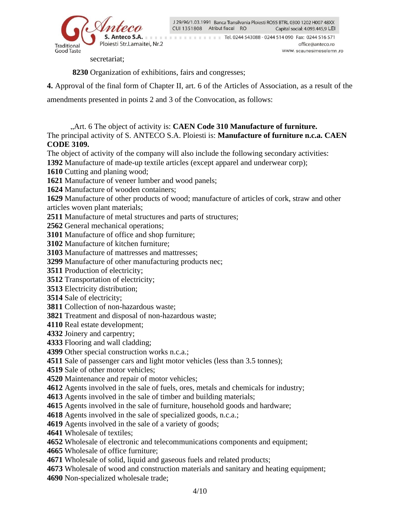

The Times of the Times of Tel. 0244 543088 - 0244 514 090 Fax: 0244 516 571 office@anteco.ro www.scaunesimeselemn.ro

secretariat;

**8230** Organization of exhibitions, fairs and congresses;

**4.** Approval of the final form of Chapter II, art. 6 of the Articles of Association, as a result of the

amendments presented in points 2 and 3 of the Convocation, as follows:

"Art. 6 The object of activity is: **CAEN Code 310 Manufacture of furniture.**

The principal activity of S. ANTECO S.A. Ploiesti is: **Manufacture of furniture n.c.a. CAEN CODE 3109.**

The object of activity of the company will also include the following secondary activities:

Manufacture of made-up textile articles (except apparel and underwear corp);

Cutting and planing wood;

Manufacture of veneer lumber and wood panels;

Manufacture of wooden containers;

 Manufacture of other products of wood; manufacture of articles of cork, straw and other articles woven plant materials;

Manufacture of metal structures and parts of structures;

General mechanical operations;

Manufacture of office and shop furniture;

Manufacture of kitchen furniture;

Manufacture of mattresses and mattresses;

Manufacture of other manufacturing products nec;

Production of electricity;

Transportation of electricity;

Electricity distribution;

Sale of electricity;

Collection of non-hazardous waste;

Treatment and disposal of non-hazardous waste;

Real estate development;

Joinery and carpentry;

Flooring and wall cladding;

Other special construction works n.c.a.;

Sale of passenger cars and light motor vehicles (less than 3.5 tonnes);

Sale of other motor vehicles;

Maintenance and repair of motor vehicles;

Agents involved in the sale of fuels, ores, metals and chemicals for industry;

Agents involved in the sale of timber and building materials;

Agents involved in the sale of furniture, household goods and hardware;

Agents involved in the sale of specialized goods, n.c.a.;

Agents involved in the sale of a variety of goods;

Wholesale of textiles;

Wholesale of electronic and telecommunications components and equipment;

Wholesale of office furniture;

Wholesale of solid, liquid and gaseous fuels and related products;

 Wholesale of wood and construction materials and sanitary and heating equipment; Non-specialized wholesale trade;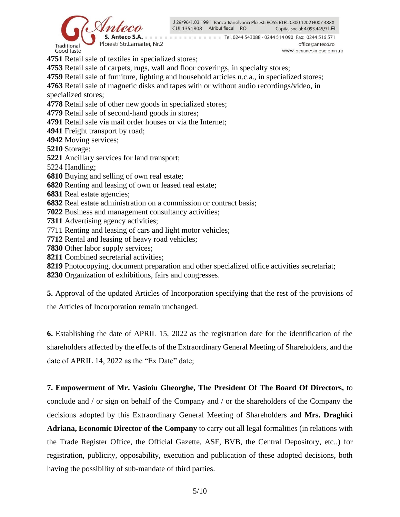



Tel. 0244 543088 - 0244 514 090 Fax: 0244 516 571 office@anteco.ro www.scaunesimeselemn.ro

**4751** Retail sale of textiles in specialized stores;

**4753** Retail sale of carpets, rugs, wall and floor coverings, in specialty stores;

**4759** Retail sale of furniture, lighting and household articles n.c.a., in specialized stores;

**4763** Retail sale of magnetic disks and tapes with or without audio recordings/video, in

specialized stores;

**4778** Retail sale of other new goods in specialized stores;

**4779** Retail sale of second-hand goods in stores;

- **4791** Retail sale via mail order houses or via the Internet;
- **4941** Freight transport by road;
- **4942** Moving services;
- **5210** Storage;
- **5221** Ancillary services for land transport;
- 5224 Handling;
- **6810** Buying and selling of own real estate;
- **6820** Renting and leasing of own or leased real estate;
- **6831** Real estate agencies;
- **6832** Real estate administration on a commission or contract basis;
- **7022** Business and management consultancy activities;
- **7311** Advertising agency activities;
- 7711 Renting and leasing of cars and light motor vehicles;
- **7712** Rental and leasing of heavy road vehicles;
- **7830** Other labor supply services;
- **8211** Combined secretarial activities;
- **8219** Photocopying, document preparation and other specialized office activities secretariat;
- **8230** Organization of exhibitions, fairs and congresses.

**5.** Approval of the updated Articles of Incorporation specifying that the rest of the provisions of the Articles of Incorporation remain unchanged.

**6.** Establishing the date of APRIL 15, 2022 as the registration date for the identification of the shareholders affected by the effects of the Extraordinary General Meeting of Shareholders, and the date of APRIL 14, 2022 as the "Ex Date" date;

## **7. Empowerment of Mr. Vasioiu Gheorghe, The President Of The Board Of Directors,** to

conclude and / or sign on behalf of the Company and / or the shareholders of the Company the decisions adopted by this Extraordinary General Meeting of Shareholders and **Mrs. Draghici Adriana, Economic Director of the Company** to carry out all legal formalities (in relations with the Trade Register Office, the Official Gazette, ASF, BVB, the Central Depository, etc..) for registration, publicity, opposability, execution and publication of these adopted decisions, both having the possibility of sub-mandate of third parties.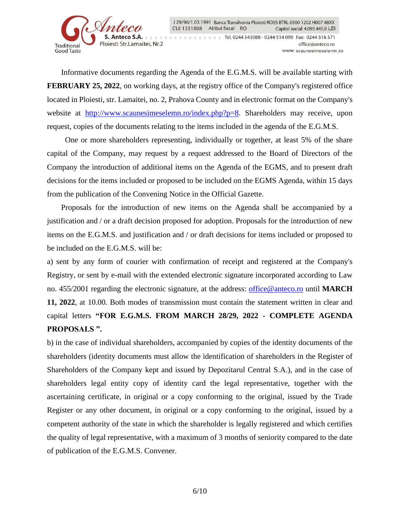

**THE REPORT OF REPORT OF REAL 244 543088 - 0244 514 090 Fax: 0244 516 571** office@anteco.ro www.scaunesimeselemn.ro

Informative documents regarding the Agenda of the E.G.M.S. will be available starting with **FEBRUARY 25, 2022**, on working days, at the registry office of the Company's registered office located in Ploiesti, str. Lamaitei, no. 2, Prahova County and in electronic format on the Company's website at [http://www.scaunesimeselemn.ro/index.php?p=8.](http://www.scaunesimeselemn.ro/index.php?p=8) Shareholders may receive, upon request, copies of the documents relating to the items included in the agenda of the E.G.M.S.

 One or more shareholders representing, individually or together, at least 5% of the share capital of the Company, may request by a request addressed to the Board of Directors of the Company the introduction of additional items on the Agenda of the EGMS, and to present draft decisions for the items included or proposed to be included on the EGMS Agenda, within 15 days from the publication of the Convening Notice in the Official Gazette.

Proposals for the introduction of new items on the Agenda shall be accompanied by a justification and / or a draft decision proposed for adoption. Proposals for the introduction of new items on the E.G.M.S. and justification and / or draft decisions for items included or proposed to be included on the E.G.M.S. will be:

a) sent by any form of courier with confirmation of receipt and registered at the Company's Registry, or sent by e-mail with the extended electronic signature incorporated according to Law no. 455/2001 regarding the electronic signature, at the address: [office@anteco.ro](mailto:office@anteco.ro) until **MARCH 11, 2022**, at 10.00. Both modes of transmission must contain the statement written in clear and capital letters **"FOR E.G.M.S. FROM MARCH 28/29, 2022 - COMPLETE AGENDA PROPOSALS ".**

b) in the case of individual shareholders, accompanied by copies of the identity documents of the shareholders (identity documents must allow the identification of shareholders in the Register of Shareholders of the Company kept and issued by Depozitarul Central S.A.), and in the case of shareholders legal entity copy of identity card the legal representative, together with the ascertaining certificate, in original or a copy conforming to the original, issued by the Trade Register or any other document, in original or a copy conforming to the original, issued by a competent authority of the state in which the shareholder is legally registered and which certifies the quality of legal representative, with a maximum of 3 months of seniority compared to the date of publication of the E.G.M.S. Convener.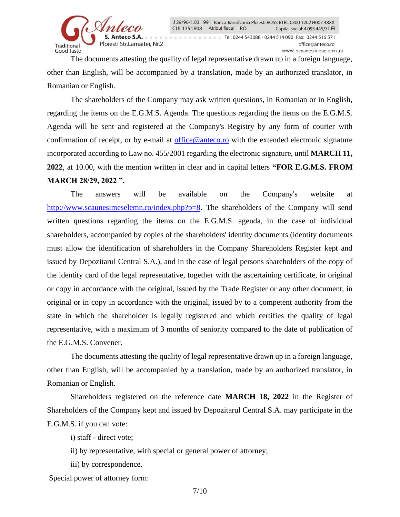

The Times of the Times of Tel. 0244 543088 - 0244 514 090 Fax: 0244 516 571 office@anteco.ro www.scaunesimeselemn.ro

The documents attesting the quality of legal representative drawn up in a foreign language, other than English, will be accompanied by a translation, made by an authorized translator, in Romanian or English.

The shareholders of the Company may ask written questions, in Romanian or in English, regarding the items on the E.G.M.S. Agenda. The questions regarding the items on the E.G.M.S. Agenda will be sent and registered at the Company's Registry by any form of courier with confirmation of receipt, or by e-mail at [office@anteco.ro](mailto:office@anteco.ro) with the extended electronic signature incorporated according to Law no. 455/2001 regarding the electronic signature, until **MARCH 11, 2022**, at 10.00, with the mention written in clear and in capital letters **"FOR E.G.M.S. FROM MARCH 28/29, 2022 ".**

The answers will be available on the Company's website at [http://www.scaunesimeselemn.ro/index.php?p=8.](http://www.scaunesimeselemn.ro/index.php?p=8) The shareholders of the Company will send written questions regarding the items on the E.G.M.S. agenda, in the case of individual shareholders, accompanied by copies of the shareholders' identity documents (identity documents must allow the identification of shareholders in the Company Shareholders Register kept and issued by Depozitarul Central S.A.), and in the case of legal persons shareholders of the copy of the identity card of the legal representative, together with the ascertaining certificate, in original or copy in accordance with the original, issued by the Trade Register or any other document, in original or in copy in accordance with the original, issued by to a competent authority from the state in which the shareholder is legally registered and which certifies the quality of legal representative, with a maximum of 3 months of seniority compared to the date of publication of the E.G.M.S. Convener.

The documents attesting the quality of legal representative drawn up in a foreign language, other than English, will be accompanied by a translation, made by an authorized translator, in Romanian or English.

Shareholders registered on the reference date **MARCH 18, 2022** in the Register of Shareholders of the Company kept and issued by Depozitarul Central S.A. may participate in the E.G.M.S. if you can vote:

i) staff - direct vote;

- ii) by representative, with special or general power of attorney;
- iii) by correspondence.

Special power of attorney form: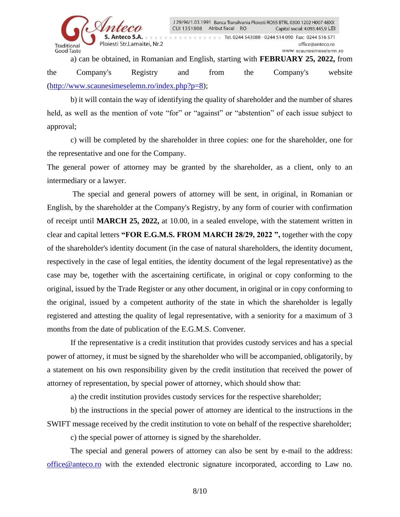

The Times of the Times of Tel. 0244 543088 - 0244 514 090 Fax: 0244 516 571 office@anteco.ro www.scaunesimeselemn.ro

a) can be obtained, in Romanian and English, starting with **FEBRUARY 25, 2022,** from the Company's Registry and from the Company's website [\(http://www.scaunesimeselemn.ro/index.php?p=8\)](http://www.scaunesimeselemn.ro/index.php?p=8);

b) it will contain the way of identifying the quality of shareholder and the number of shares held, as well as the mention of vote "for" or "against" or "abstention" of each issue subject to approval;

c) will be completed by the shareholder in three copies: one for the shareholder, one for the representative and one for the Company.

The general power of attorney may be granted by the shareholder, as a client, only to an intermediary or a lawyer.

 The special and general powers of attorney will be sent, in original, in Romanian or English, by the shareholder at the Company's Registry, by any form of courier with confirmation of receipt until **MARCH 25, 2022,** at 10.00, in a sealed envelope, with the statement written in clear and capital letters **"FOR E.G.M.S. FROM MARCH 28/29, 2022 ",** together with the copy of the shareholder's identity document (in the case of natural shareholders, the identity document, respectively in the case of legal entities, the identity document of the legal representative) as the case may be, together with the ascertaining certificate, in original or copy conforming to the original, issued by the Trade Register or any other document, in original or in copy conforming to the original, issued by a competent authority of the state in which the shareholder is legally registered and attesting the quality of legal representative, with a seniority for a maximum of 3 months from the date of publication of the E.G.M.S. Convener.

If the representative is a credit institution that provides custody services and has a special power of attorney, it must be signed by the shareholder who will be accompanied, obligatorily, by a statement on his own responsibility given by the credit institution that received the power of attorney of representation, by special power of attorney, which should show that:

a) the credit institution provides custody services for the respective shareholder;

 b) the instructions in the special power of attorney are identical to the instructions in the SWIFT message received by the credit institution to vote on behalf of the respective shareholder;

c) the special power of attorney is signed by the shareholder.

The special and general powers of attorney can also be sent by e-mail to the address: [office@anteco.ro](mailto:office@anteco.ro) with the extended electronic signature incorporated, according to Law no.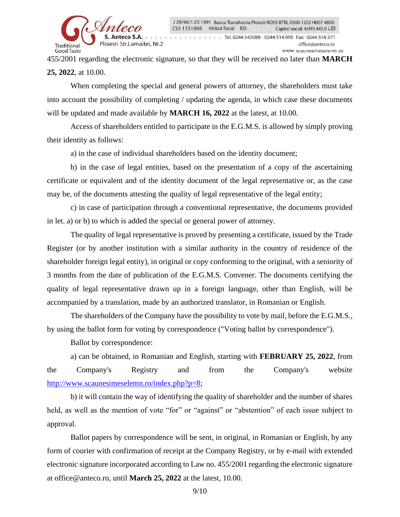

455/2001 regarding the electronic signature, so that they will be received no later than **MARCH 25, 2022**, at 10.00.

When completing the special and general powers of attorney, the shareholders must take into account the possibility of completing / updating the agenda, in which case these documents will be updated and made available by **MARCH 16, 2022** at the latest, at 10.00.

Access of shareholders entitled to participate in the E.G.M.S. is allowed by simply proving their identity as follows:

a) in the case of individual shareholders based on the identity document;

b) in the case of legal entities, based on the presentation of a copy of the ascertaining certificate or equivalent and of the identity document of the legal representative or, as the case may be, of the documents attesting the quality of legal representative of the legal entity;

c) in case of participation through a conventional representative, the documents provided in let. a) or b) to which is added the special or general power of attorney.

The quality of legal representative is proved by presenting a certificate, issued by the Trade Register (or by another institution with a similar authority in the country of residence of the shareholder foreign legal entity), in original or copy conforming to the original, with a seniority of 3 months from the date of publication of the E.G.M.S. Convener. The documents certifying the quality of legal representative drawn up in a foreign language, other than English, will be accompanied by a translation, made by an authorized translator, in Romanian or English.

The shareholders of the Company have the possibility to vote by mail, before the E.G.M.S., by using the ballot form for voting by correspondence ("Voting ballot by correspondence").

Ballot by correspondence:

a) can be obtained, in Romanian and English, starting with **FEBRUARY 25, 2022**, from the Company's Registry and from the Company's website [http://www.scaunesimeselemn.ro/index.php?p=8;](http://www.scaunesimeselemn.ro/index.php?p=8)

b) it will contain the way of identifying the quality of shareholder and the number of shares held, as well as the mention of vote "for" or "against" or "abstention" of each issue subject to approval.

Ballot papers by correspondence will be sent, in original, in Romanian or English, by any form of courier with confirmation of receipt at the Company Registry, or by e-mail with extended electronic signature incorporated according to Law no. 455/2001 regarding the electronic signature at office@anteco.ro, until **March 25, 2022** at the latest, 10.00.